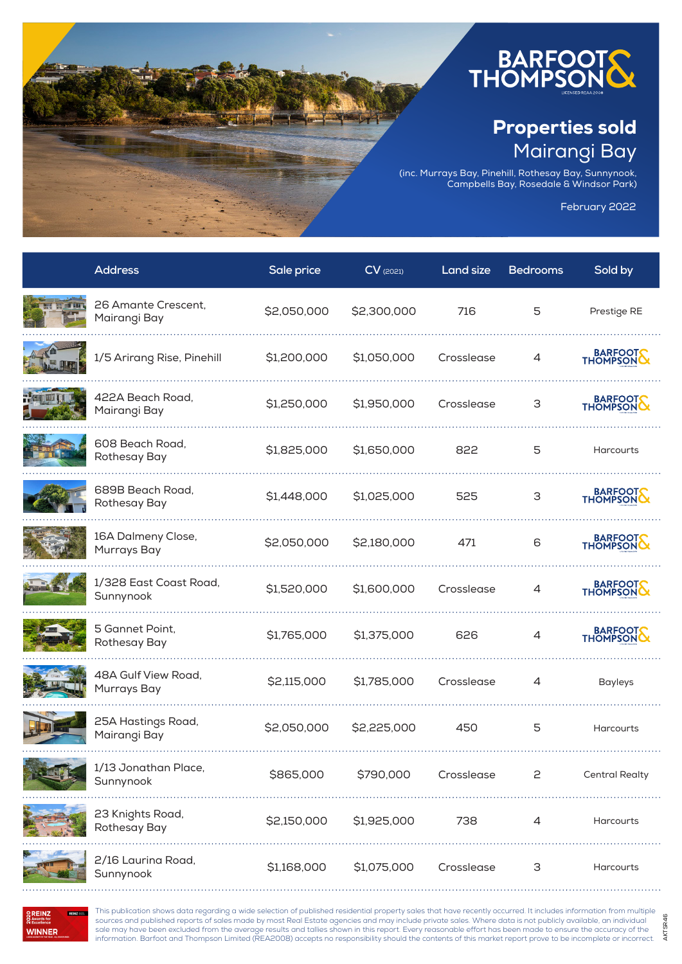

## Properties sold Mairangi Bay

(inc. Murrays Bay, Pinehill, Rothesay Bay, Sunnynook, Campbells Bay, Rosedale & Windsor Park)

February 2022

AKTSR46

AKTSR46

| <b>Address</b>                      | Sale price  | $CV$ (2021) | <b>Land size</b> | <b>Bedrooms</b> | Sold by               |
|-------------------------------------|-------------|-------------|------------------|-----------------|-----------------------|
| 26 Amante Crescent,<br>Mairangi Bay | \$2,050,000 | \$2,300,000 | 716              | 5               | Prestige RE           |
| 1/5 Arirang Rise, Pinehill          | \$1,200,000 | \$1,050,000 | Crosslease       | 4               | BARFOOT               |
| 422A Beach Road,<br>Mairangi Bay    | \$1,250,000 | \$1,950,000 | Crosslease       | З               | BARFOOT               |
| 608 Beach Road,<br>Rothesay Bay     | \$1,825,000 | \$1,650,000 | 822              | 5               | <b>Harcourts</b>      |
| 689B Beach Road,<br>Rothesay Bay    | \$1,448,000 | \$1,025,000 | 525              | 3               | BARFOOT               |
| 16A Dalmeny Close,<br>Murrays Bay   | \$2,050,000 | \$2,180,000 | 471              | 6               | BARFOOT               |
| 1/328 East Coast Road,<br>Sunnynook | \$1,520,000 | \$1,600,000 | Crosslease       | 4               | BARFOOT               |
| 5 Gannet Point,<br>Rothesay Bay     | \$1,765,000 | \$1,375,000 | 626              | 4               | BARFOOT               |
| 48A Gulf View Road,<br>Murrays Bay  | \$2,115,000 | \$1,785,000 | Crosslease       | 4               | <b>Bayleys</b>        |
| 25A Hastings Road,<br>Mairangi Bay  | \$2,050,000 | \$2,225,000 | 450              | 5               | <b>Harcourts</b>      |
| 1/13 Jonathan Place,<br>Sunnynook   | \$865,000   | \$790,000   | Crosslease       | 2               | <b>Central Realty</b> |
| 23 Knights Road,<br>Rothesay Bay    | \$2,150,000 | \$1,925,000 | 738              | $\overline{4}$  | <b>Harcourts</b>      |
| 2/16 Laurina Road,<br>Sunnynook     | \$1,168,000 | \$1,075,000 | Crosslease       | 3               | Harcourts             |



This publication shows data regarding a wide selection of published residential property sales that have recently occurred. It includes information from multiple sources and published reports of sales made by most Real Estate agencies and may include private sales. Where data is not publicly available, an individual<br>sale may have been excluded from the average results and tallies s information. Barfoot and Thompson Limited (REA2008) accepts no responsibility should the contents of this market report prove to be incomplete or incorrect.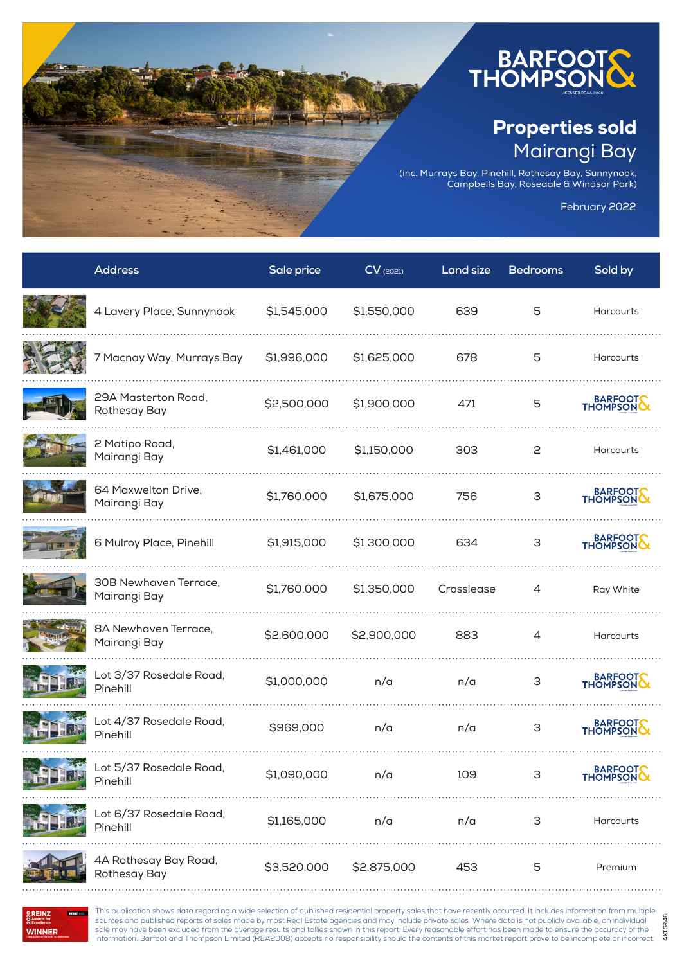

## Properties sold Mairangi Bay

(inc. Murrays Bay, Pinehill, Rothesay Bay, Sunnynook, Campbells Bay, Rosedale & Windsor Park)

February 2022

AKTSR46

AKTSR46

| <b>Address</b>                        | Sale price  | $CV$ (2021) | Land size  | <b>Bedrooms</b> | Sold by             |
|---------------------------------------|-------------|-------------|------------|-----------------|---------------------|
| 4 Lavery Place, Sunnynook             | \$1,545,000 | \$1,550,000 | 639        | 5               | <b>Harcourts</b>    |
| 7 Macnay Way, Murrays Bay             | \$1,996,000 | \$1,625,000 | 678        | 5               | Harcourts           |
| 29A Masterton Road,<br>Rothesay Bay   | \$2,500,000 | \$1,900,000 | 471        | 5               | BARFOOT             |
| 2 Matipo Road,<br>Mairangi Bay        | \$1,461,000 | \$1,150,000 | 303        | 2               | Harcourts           |
| 64 Maxwelton Drive,<br>Mairangi Bay   | \$1,760,000 | \$1,675,000 | 756        | 3               | BARFOOT             |
| 6 Mulroy Place, Pinehill              | \$1,915,000 | \$1,300,000 | 634        | 3               | BARFOOT             |
| 30B Newhaven Terrace,<br>Mairangi Bay | \$1,760,000 | \$1,350,000 | Crosslease | $\overline{4}$  | Ray White           |
| 8A Newhaven Terrace,<br>Mairangi Bay  | \$2,600,000 | \$2,900,000 | 883        | $\overline{4}$  | <b>Harcourts</b>    |
| Lot 3/37 Rosedale Road,<br>Pinehill   | \$1,000,000 | n/a         | n/a        | 3               | BARFOOT             |
| Lot 4/37 Rosedale Road,<br>Pinehill   | \$969,000   | n/a         | n/a        | 3               | BARFOOT             |
| Lot 5/37 Rosedale Road,<br>Pinehill   | \$1,090,000 | n/a         | 109        | З               | BARFOOT<br>THOMPSON |
| Lot 6/37 Rosedale Road,<br>Pinehill   | \$1,165,000 | n/a         | n/a        | 3               | Harcourts           |
| 4A Rothesay Bay Road,<br>Rothesay Bay | \$3,520,000 | \$2,875,000 | 453        | 5               | Premium             |

**OREINZ**<br> **O** Awards for<br> **O** Excellence **REINZ 2005 WINNER** 

This publication shows data regarding a wide selection of published residential property sales that have recently occurred. It includes information from multiple sources and published reports of sales made by most Real Estate agencies and may include private sales. Where data is not publicly available, an individual<br>sale may have been excluded from the average results and tallies s information. Barfoot and Thompson Limited (REA2008) accepts no responsibility should the contents of this market report prove to be incomplete or incorrect.